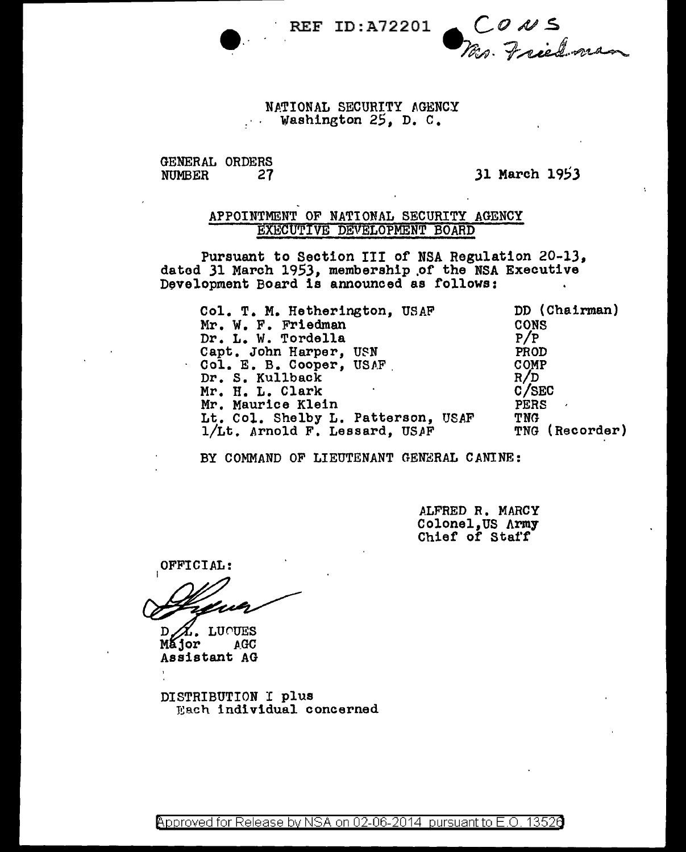REF ID:A72201 **6 CONS**<br>Wer. Friedma

### NATIONAL SECURITY AGENCY Washington 25, D. C.

# GENERAL ORDERS<br>NUMBER 27

31 March 1953

### APPOINTMENT OF NATIONAL SECURITY AGENCY EXECUTIVE DEVELOPMENT BOARD

Pursuant to Section III of NSA Regulation 20-13, dated 31 March 1953, membership of the NSA Executive Development Board is announced as follows:

| Col. T. M. Hetherington, USAF      | DD (Chairman)  |
|------------------------------------|----------------|
| Mr. W. F. Friedman                 | <b>CONS</b>    |
| Dr. L. W. Tordella                 | P/P            |
| Capt. John Harper, USN             | PROD           |
| Col. E. B. Cooper, USAF            | COMP           |
| Dr. S. Kullback                    | R/D            |
| Mr. H. L. Clark                    | C/SEC          |
| Mr. Maurice Klein                  | <b>PERS</b>    |
| Lt. Col. Shelby L. Patterson, USAF | <b>TNG</b>     |
| 1/Lt. Arnold F. Lessard, USAF      | TNG (Recorder) |

BY COMMAND OF LIEUTENANT GENERAL CANINE:

ALFRED R. MARCY Colonel,US Army Chief of Stat'f'

OFFICIAL:

K. LUOUES<br>or agc D  $M$ ior Assistant AG

DISTRIBUTION I plus Hach individual concerned

@'pproved for Release by NSA on 02-06-2014 pursuantto E.O. 1352a